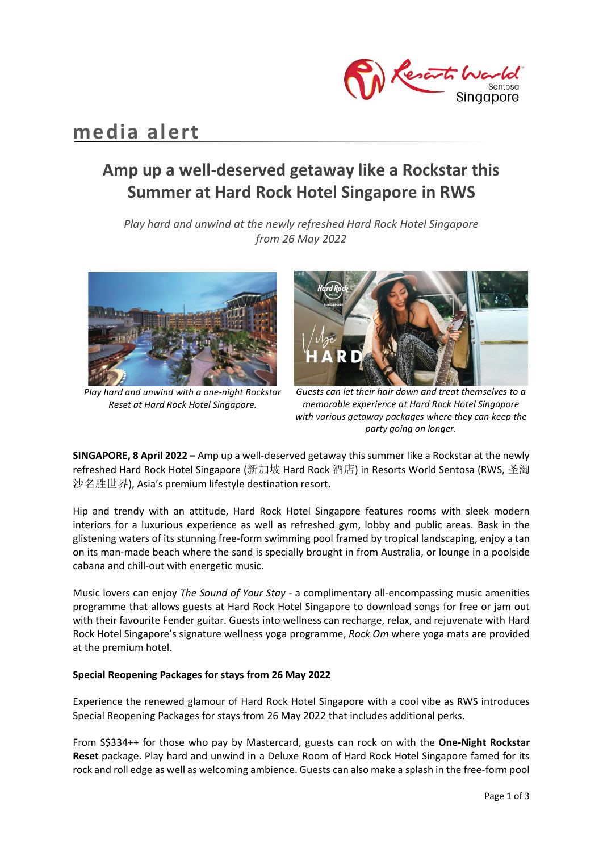

# **media alert**

## **Amp up a well-deserved getaway like a Rockstar this Summer at Hard Rock Hotel Singapore in RWS**

*Play hard and unwind at the newly refreshed Hard Rock Hotel Singapore from 26 May 2022*



*Play hard and unwind with a one-night Rockstar Reset at Hard Rock Hotel Singapore.*



*Guests can let their hair down and treat themselves to a memorable experience at Hard Rock Hotel Singapore with various getaway packages where they can keep the party going on longer.*

**SINGAPORE, 8 April 2022 –** Amp up a well-deserved getaway this summer like a Rockstar at the newly refreshed Hard Rock Hotel Singapore (新加坡 Hard Rock 酒店) in Resorts World Sentosa (RWS, 圣淘 沙名胜世界), Asia's premium lifestyle destination resort.

Hip and trendy with an attitude, Hard Rock Hotel Singapore features rooms with sleek modern interiors for a luxurious experience as well as refreshed gym, lobby and public areas. Bask in the glistening waters of its stunning free-form swimming pool framed by tropical landscaping, enjoy a tan on its man-made beach where the sand is specially brought in from Australia, or lounge in a poolside cabana and chill-out with energetic music.

Music lovers can enjoy *The Sound of Your Stay* - a complimentary all-encompassing music amenities programme that allows guests at Hard Rock Hotel Singapore to download songs for free or jam out with their favourite Fender guitar. Guests into wellness can recharge, relax, and rejuvenate with Hard Rock Hotel Singapore's signature wellness yoga programme, *Rock Om* where yoga mats are provided at the premium hotel.

#### **Special Reopening Packages for stays from 26 May 2022**

Experience the renewed glamour of Hard Rock Hotel Singapore with a cool vibe as RWS introduces Special Reopening Packages for stays from 26 May 2022 that includes additional perks.

From S\$334++ for those who pay by Mastercard, guests can rock on with the **One-Night Rockstar Reset** package. Play hard and unwind in a Deluxe Room of Hard Rock Hotel Singapore famed for its rock and roll edge as well as welcoming ambience. Guests can also make a splash in the free-form pool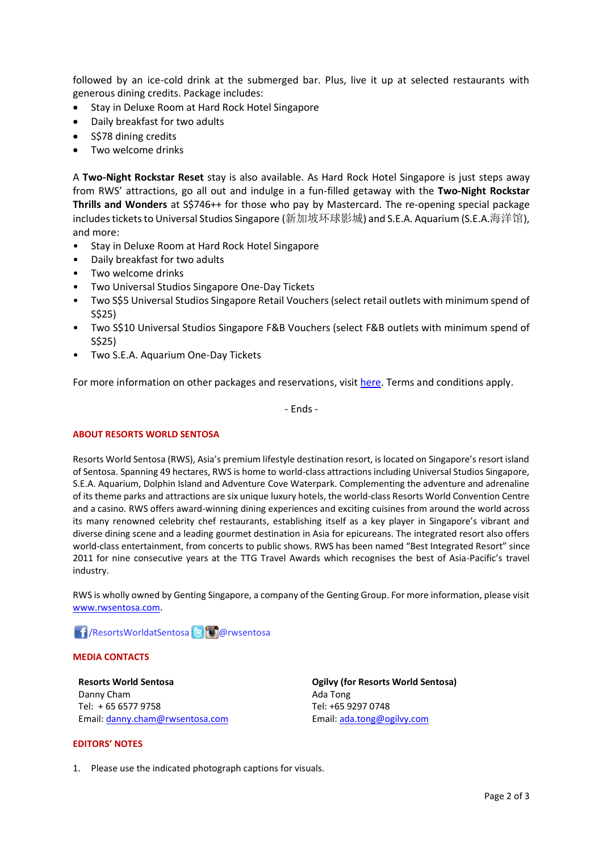followed by an ice-cold drink at the submerged bar. Plus, live it up at selected restaurants with generous dining credits. Package includes:

- Stay in Deluxe Room at Hard Rock Hotel Singapore
- Daily breakfast for two adults
- S\$78 dining credits
- Two welcome drinks

A **Two-Night Rockstar Reset** stay is also available. As Hard Rock Hotel Singapore is just steps away from RWS' attractions, go all out and indulge in a fun-filled getaway with the **Two-Night Rockstar Thrills and Wonders** at S\$746++ for those who pay by Mastercard. The re-opening special package includes tickets to Universal Studios Singapore (新加坡环球影城) and S.E.A. Aquarium (S.E.A.海洋馆), and more:

- Stay in Deluxe Room at Hard Rock Hotel Singapore
- Daily breakfast for two adults
- Two welcome drinks
- Two Universal Studios Singapore One-Day Tickets
- Two S\$5 Universal Studios Singapore Retail Vouchers (select retail outlets with minimum spend of S\$25)
- Two S\$10 Universal Studios Singapore F&B Vouchers (select F&B outlets with minimum spend of S\$25)
- Two S.E.A. Aquarium One-Day Tickets

For more information on other packages and reservations, visit [here.](https://www.rwsentosa.com/en/promotions/hotels/hard-rock-reopening) Terms and conditions apply.

- Ends -

#### **ABOUT RESORTS WORLD SENTOSA**

Resorts World Sentosa (RWS), Asia's premium lifestyle destination resort, is located on Singapore's resort island of Sentosa. Spanning 49 hectares, RWS is home to world-class attractions including Universal Studios Singapore, S.E.A. Aquarium, Dolphin Island and Adventure Cove Waterpark. Complementing the adventure and adrenaline of its theme parks and attractions are six unique luxury hotels, the world-class Resorts World Convention Centre and a casino. RWS offers award-winning dining experiences and exciting cuisines from around the world across its many renowned celebrity chef restaurants, establishing itself as a key player in Singapore's vibrant and diverse dining scene and a leading gourmet destination in Asia for epicureans. The integrated resort also offers world-class entertainment, from concerts to public shows. RWS has been named "Best Integrated Resort" since 2011 for nine consecutive years at the TTG Travel Awards which recognises the best of Asia-Pacific's travel industry.

RWS is wholly owned by Genting Singapore, a company of the Genting Group. For more information, please visit [www.rwsentosa.com.](http://www.rwsentosa.com/)

### **f** /ResortsWorldatSentosa **B @**rwsentosa

#### **MEDIA CONTACTS**

**Resorts World Sentosa** Danny Cham Tel: + 65 6577 9758 Email[: danny.cham@rwsentosa.com](mailto:danny.cham@rwsentosa.com) **Ogilvy (for Resorts World Sentosa)** Ada Tong Tel: +65 9297 0748 Email[: ada.tong@ogilvy.com](mailto:ada.tong@ogilvy.com)

#### **EDITORS' NOTES**

1. Please use the indicated photograph captions for visuals.